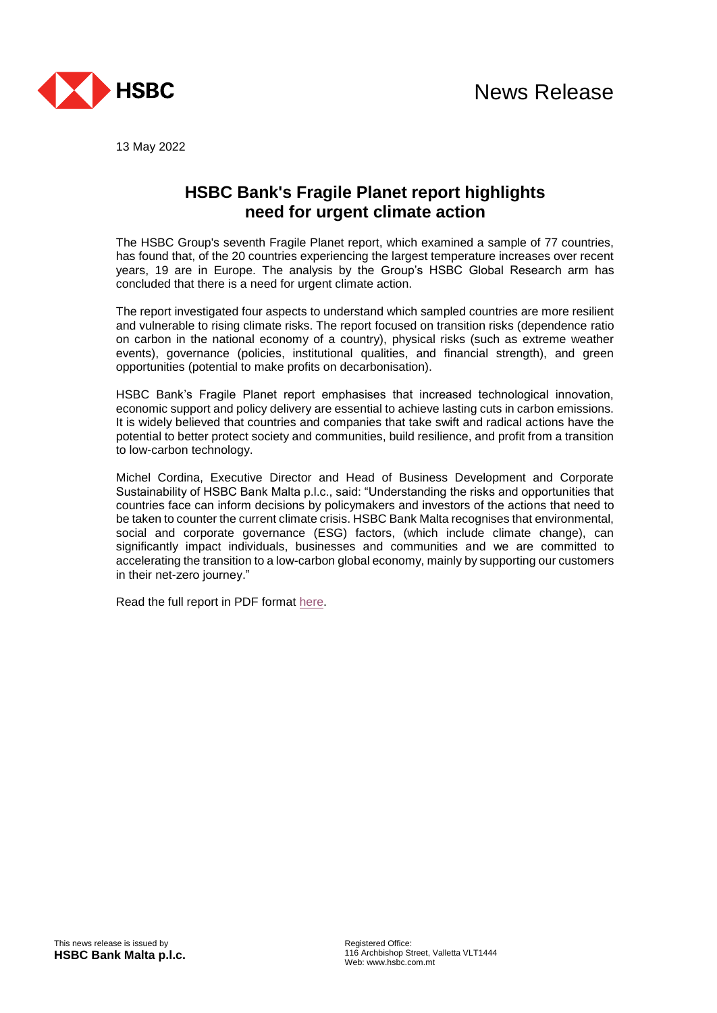

13 May 2022

## **HSBC Bank's Fragile Planet report highlights need for urgent climate action**

The HSBC Group's seventh Fragile Planet report, which examined a sample of 77 countries, has found that, of the 20 countries experiencing the largest temperature increases over recent years, 19 are in Europe. The analysis by the Group's HSBC Global Research arm has concluded that there is a need for urgent climate action.

The report investigated four aspects to understand which sampled countries are more resilient and vulnerable to rising climate risks. The report focused on transition risks (dependence ratio on carbon in the national economy of a country), physical risks (such as extreme weather events), governance (policies, institutional qualities, and financial strength), and green opportunities (potential to make profits on decarbonisation).

HSBC Bank's Fragile Planet report emphasises that increased technological innovation, economic support and policy delivery are essential to achieve lasting cuts in carbon emissions. It is widely believed that countries and companies that take swift and radical actions have the potential to better protect society and communities, build resilience, and profit from a transition to low-carbon technology.

Michel Cordina, Executive Director and Head of Business Development and Corporate Sustainability of HSBC Bank Malta p.l.c., said: "Understanding the risks and opportunities that countries face can inform decisions by policymakers and investors of the actions that need to be taken to counter the current climate crisis. HSBC Bank Malta recognises that environmental, social and corporate governance (ESG) factors, (which include climate change), can significantly impact individuals, businesses and communities and we are committed to accelerating the transition to a low-carbon global economy, mainly by supporting our customers in their net-zero journey."

Read the full report in PDF format [here.](https://www.research.hsbc.com/C/1/1/320/nctXVmq)